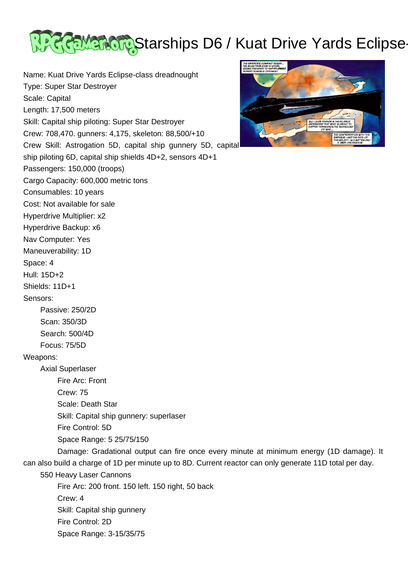

Name: Kuat Drive Yards Eclipse-class dreadnought Type: Super Star Destroyer Scale: Capital Length: 17,500 meters Skill: Capital ship piloting: Super Star Destroyer Crew: 708,470. gunners: 4,175, skeleton: 88,500/+10 Crew Skill: Astrogation 5D, capital ship gunnery 5D, capital ship piloting 6D, capital ship shields 4D+2, sensors 4D+1 Passengers: 150,000 (troops) Cargo Capacity: 600,000 metric tons Consumables: 10 years Cost: Not available for sale Hyperdrive Multiplier: x2 Hyperdrive Backup: x6 Nav Computer: Yes Maneuverability: 1D Space: 4 Hull: 15D+2 Shields: 11D+1 Sensors: Passive: 250/2D Scan: 350/3D Search: 500/4D Focus: 75/5D Weapons: Axial Superlaser Fire Arc: Front Crew: 75 Scale: Death Star Skill: Capital ship gunnery: superlaser Fire Control: 5D Space Range: 5 25/75/150 Damage: Gradational output can fire once every minute at minimum energy (1D damage). It can also build a charge of 1D per minute up to 8D. Current reactor can only generate 11D total per day. 550 Heavy Laser Cannons Fire Arc: 200 front. 150 left. 150 right, 50 back Crew: 4 Skill: Capital ship gunnery Fire Control: 2D Space Range: 3-15/35/75

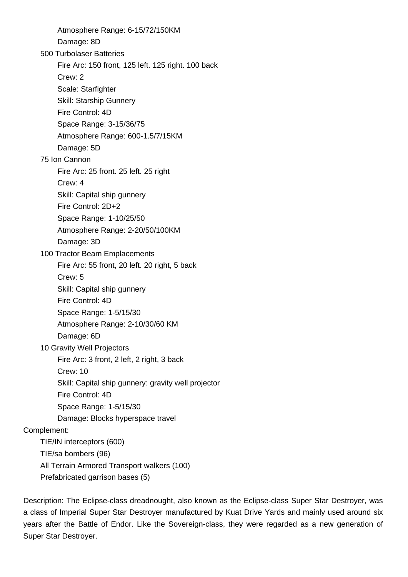Atmosphere Range: 6-15/72/150KM Damage: 8D 500 Turbolaser Batteries Fire Arc: 150 front, 125 left. 125 right. 100 back Crew: 2 Scale: Starfighter Skill: Starship Gunnery Fire Control: 4D Space Range: 3-15/36/75 Atmosphere Range: 600-1.5/7/15KM Damage: 5D 75 Ion Cannon Fire Arc: 25 front. 25 left. 25 right Crew: 4 Skill: Capital ship gunnery Fire Control: 2D+2 Space Range: 1-10/25/50 Atmosphere Range: 2-20/50/100KM Damage: 3D 100 Tractor Beam Emplacements Fire Arc: 55 front, 20 left. 20 right, 5 back Crew: 5 Skill: Capital ship gunnery Fire Control: 4D Space Range: 1-5/15/30 Atmosphere Range: 2-10/30/60 KM Damage: 6D 10 Gravity Well Projectors Fire Arc: 3 front, 2 left, 2 right, 3 back Crew: 10 Skill: Capital ship gunnery: gravity well projector Fire Control: 4D Space Range: 1-5/15/30 Damage: Blocks hyperspace travel Complement: TIE/IN interceptors (600) TIE/sa bombers (96) All Terrain Armored Transport walkers (100) Prefabricated garrison bases (5)

Description: The Eclipse-class dreadnought, also known as the Eclipse-class Super Star Destroyer, was a class of Imperial Super Star Destroyer manufactured by Kuat Drive Yards and mainly used around six years after the Battle of Endor. Like the Sovereign-class, they were regarded as a new generation of Super Star Destroyer.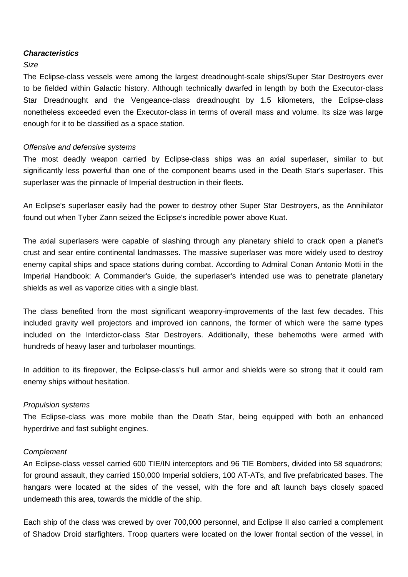# **Characteristics**

## Size

The Eclipse-class vessels were among the largest dreadnought-scale ships/Super Star Destroyers ever to be fielded within Galactic history. Although technically dwarfed in length by both the Executor-class Star Dreadnought and the Vengeance-class dreadnought by 1.5 kilometers, the Eclipse-class nonetheless exceeded even the Executor-class in terms of overall mass and volume. Its size was large enough for it to be classified as a space station.

### Offensive and defensive systems

The most deadly weapon carried by Eclipse-class ships was an axial superlaser, similar to but significantly less powerful than one of the component beams used in the Death Star's superlaser. This superlaser was the pinnacle of Imperial destruction in their fleets.

An Eclipse's superlaser easily had the power to destroy other Super Star Destroyers, as the Annihilator found out when Tyber Zann seized the Eclipse's incredible power above Kuat.

The axial superlasers were capable of slashing through any planetary shield to crack open a planet's crust and sear entire continental landmasses. The massive superlaser was more widely used to destroy enemy capital ships and space stations during combat. According to Admiral Conan Antonio Motti in the Imperial Handbook: A Commander's Guide, the superlaser's intended use was to penetrate planetary shields as well as vaporize cities with a single blast.

The class benefited from the most significant weaponry-improvements of the last few decades. This included gravity well projectors and improved ion cannons, the former of which were the same types included on the Interdictor-class Star Destroyers. Additionally, these behemoths were armed with hundreds of heavy laser and turbolaser mountings.

In addition to its firepower, the Eclipse-class's hull armor and shields were so strong that it could ram enemy ships without hesitation.

### Propulsion systems

The Eclipse-class was more mobile than the Death Star, being equipped with both an enhanced hyperdrive and fast sublight engines.

#### **Complement**

An Eclipse-class vessel carried 600 TIE/IN interceptors and 96 TIE Bombers, divided into 58 squadrons; for ground assault, they carried 150,000 Imperial soldiers, 100 AT-ATs, and five prefabricated bases. The hangars were located at the sides of the vessel, with the fore and aft launch bays closely spaced underneath this area, towards the middle of the ship.

Each ship of the class was crewed by over 700,000 personnel, and Eclipse II also carried a complement of Shadow Droid starfighters. Troop quarters were located on the lower frontal section of the vessel, in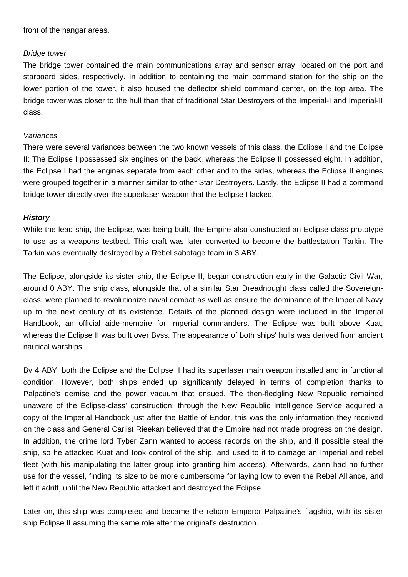front of the hangar areas.

## Bridge tower

The bridge tower contained the main communications array and sensor array, located on the port and starboard sides, respectively. In addition to containing the main command station for the ship on the lower portion of the tower, it also housed the deflector shield command center, on the top area. The bridge tower was closer to the hull than that of traditional Star Destroyers of the Imperial-I and Imperial-II class.

## **Variances**

There were several variances between the two known vessels of this class, the Eclipse I and the Eclipse II: The Eclipse I possessed six engines on the back, whereas the Eclipse II possessed eight. In addition, the Eclipse I had the engines separate from each other and to the sides, whereas the Eclipse II engines were grouped together in a manner similar to other Star Destroyers. Lastly, the Eclipse II had a command bridge tower directly over the superlaser weapon that the Eclipse I lacked.

# **History**

While the lead ship, the Eclipse, was being built, the Empire also constructed an Eclipse-class prototype to use as a weapons testbed. This craft was later converted to become the battlestation Tarkin. The Tarkin was eventually destroyed by a Rebel sabotage team in 3 ABY.

The Eclipse, alongside its sister ship, the Eclipse II, began construction early in the Galactic Civil War, around 0 ABY. The ship class, alongside that of a similar Star Dreadnought class called the Sovereignclass, were planned to revolutionize naval combat as well as ensure the dominance of the Imperial Navy up to the next century of its existence. Details of the planned design were included in the Imperial Handbook, an official aide-memoire for Imperial commanders. The Eclipse was built above Kuat, whereas the Eclipse II was built over Byss. The appearance of both ships' hulls was derived from ancient nautical warships.

By 4 ABY, both the Eclipse and the Eclipse II had its superlaser main weapon installed and in functional condition. However, both ships ended up significantly delayed in terms of completion thanks to Palpatine's demise and the power vacuum that ensued. The then-fledgling New Republic remained unaware of the Eclipse-class' construction: through the New Republic Intelligence Service acquired a copy of the Imperial Handbook just after the Battle of Endor, this was the only information they received on the class and General Carlist Rieekan believed that the Empire had not made progress on the design. In addition, the crime lord Tyber Zann wanted to access records on the ship, and if possible steal the ship, so he attacked Kuat and took control of the ship, and used to it to damage an Imperial and rebel fleet (with his manipulating the latter group into granting him access). Afterwards, Zann had no further use for the vessel, finding its size to be more cumbersome for laying low to even the Rebel Alliance, and left it adrift, until the New Republic attacked and destroyed the Eclipse

Later on, this ship was completed and became the reborn Emperor Palpatine's flagship, with its sister ship Eclipse II assuming the same role after the original's destruction.